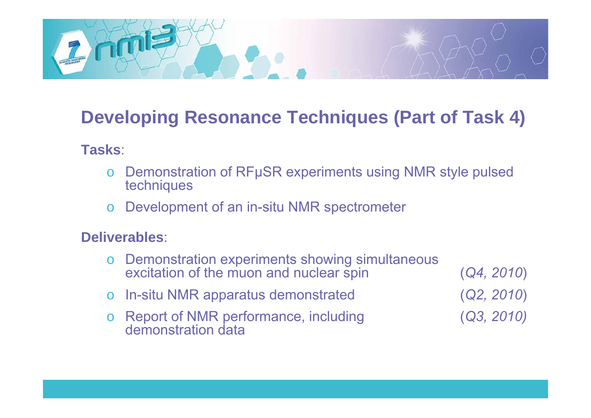

# **Developing Resonance Techniques (Part of Task 4)**

#### **Tasks**:

- oo Demonstration of RFµSR experiments using NMR style pulsed techniques
- oo Development of an in-situ NMR spectrometer

#### **Deliverables**:

oo Demonstration experiments showing simultaneous excitation of the muon and nuclear spin  $(Q4, 2010)$ o In-situ NMR apparatus demonstrated (*Q2, 2010*  $(Q2, 2010)$ o Report of NMR performance, including (*Q3, 2010)* demonstration data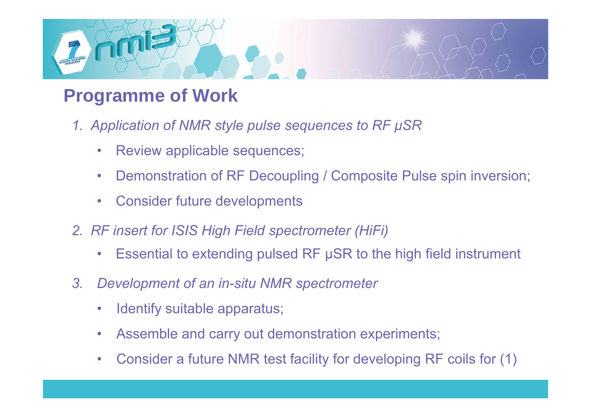

# **Programme of Work**

- *1. Application of NMR style pulse sequences to RF μSR* 
	- $\bullet$ Review applicable sequences;
	- $\bullet$ Demonstration of RF Decoupling / Composite Pulse spin inversion;
	- $\bullet$ Consider future developments
- *2. RF insert for ISIS High Field spectrometer (HiFi)*
	- $\bullet$ Essential to extending pulsed RF  $\mu$ SR to the high field instrument
- *3. Development of an in-situ NMR spectrometer*
	- $\bullet$ Identify suitable apparatus;
	- $\bullet$ Assemble and carry out demonstration experiments;
	- $\bullet$ Consider a future NMR test facility for developing RF coils for (1)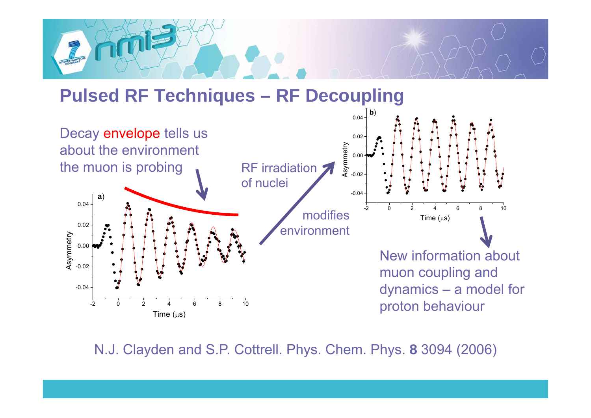

### **Pulsed RF Techniques – RF Decoupling**



N.J. Clayden and S.P. Cottrell. Phys. Chem. Phys. 8 3094 (2006)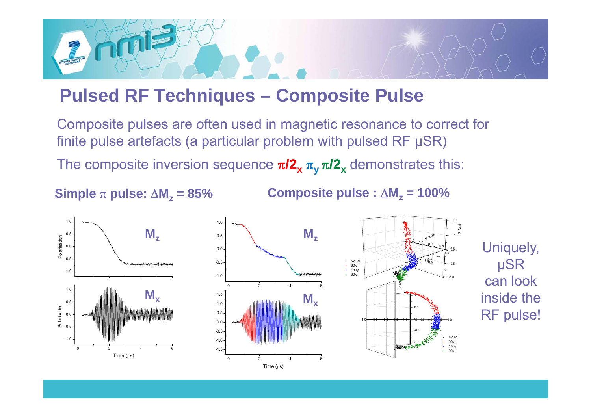

### **Pulsed RF Techniques – Composite Pulse**

Composite pulses are often used in magnetic resonance to correct for finite pulse artefacts (a particular problem with pulsed RF μSR) The composite inversion sequence  $\pi$ **/2<sub>x</sub>**  $\pi$ <sub>y</sub>  $\pi$ **/2**<sub>x</sub> demonstrates this:

**Simple**  π **pulse:**  Δ **M z**

**= 85% Composite pulse :**  Δ **M z = 100%**

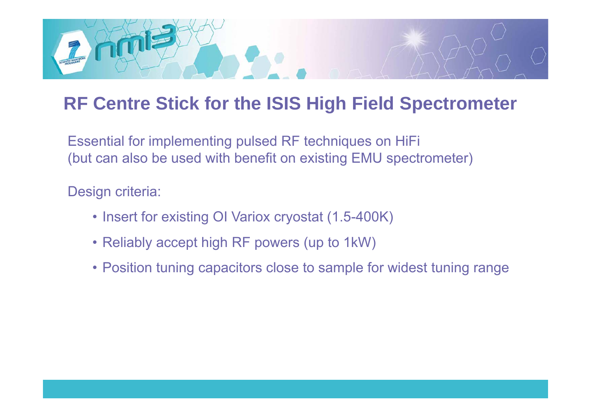

# **RF Centre Stick for the ISIS High Field Spectrometer**

Essential for implementing pulsed RF techniques on HiFi (but can also be used with benefit on existing EMU spectrometer)

Design criteria:

- Insert for existing OI Variox cryostat (1.5-400K)
- Reliably accept high RF powers (up to 1kW)
- Position tuning capacitors close to sample for widest tuning range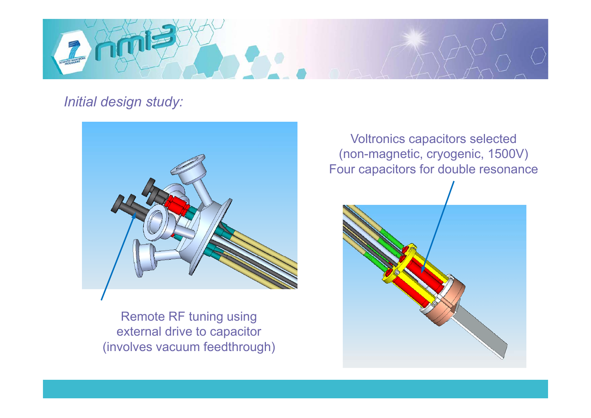

*Initial design study:*



Remote RF tuning using external drive to capacitor (involves vacuum feedthrough)

Voltronics capacitors selected (non-magnetic, cryogenic, 1500V) Four capacitors for double resonance

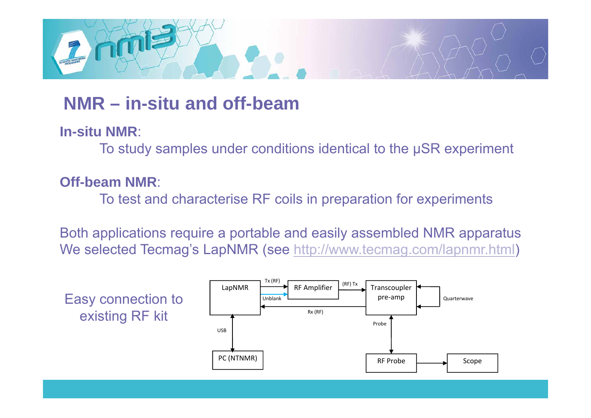

## **NMR – in-situ and off-beam**

**In-situ NMR**:

To study samples under conditions identical to the μSR experiment

#### **Off-beam NMR**:

To test and characterise RF coils in preparation for experiments

Both applications require a portable and easily assembled NMR apparatus We selected Tecmag's LapNMR (see <u>http://www.tecmag.com/lapnmr.html</u>)

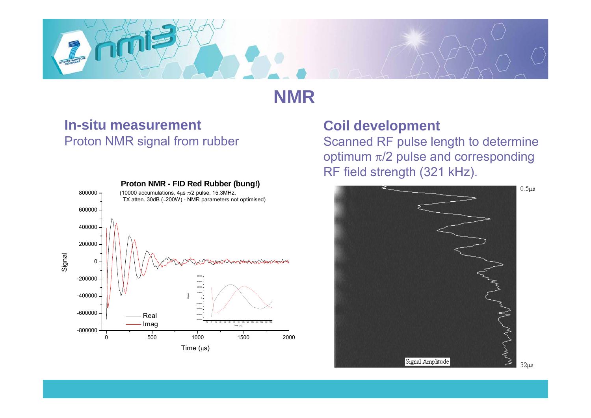

### **NMR**

#### **In-situ measurement**Proton NMR signal from rubber



#### **Coil development**

Scanned RF pulse length to determine optimum  $π/2$  pulse and corresponding RF field strength (321 kHz).